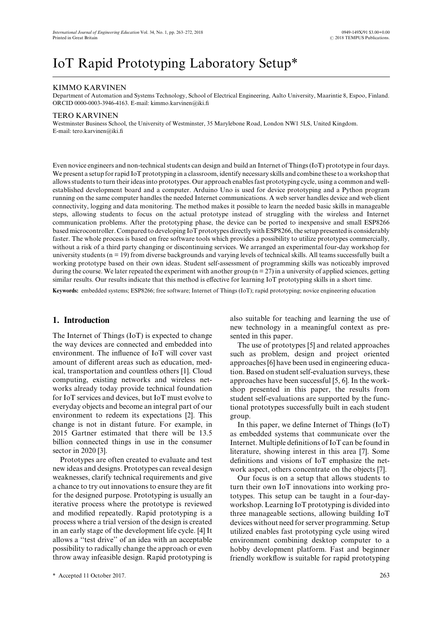# IoT Rapid Prototyping Laboratory Setup\*

# KIMMO KARVINEN

Department of Automation and Systems Technology, School of Electrical Engineering, Aalto University, Maarintie 8, Espoo, Finland. ORCID 0000-0003-3946-4163. E-mail: kimmo.karvinen@iki.fi

#### TERO KARVINEN

Westminster Business School, the University of Westminster, 35 Marylebone Road, London NW1 5LS, United Kingdom. E-mail: tero.karvinen@iki.fi

Even novice engineers and non-technical students can design and build an Internet of Things (IoT) prototype in four days. We present a setup for rapid IoT prototyping in a classroom, identify necessary skills and combine these to a workshop that allows students to turn their ideas into prototypes. Our approach enables fast prototyping cycle, using a common and wellestablished development board and a computer. Arduino Uno is used for device prototyping and a Python program running on the same computer handles the needed Internet communications. A web server handles device and web client connectivity, logging and data monitoring. The method makes it possible to learn the needed basic skills in manageable steps, allowing students to focus on the actual prototype instead of struggling with the wireless and Internet communication problems. After the prototyping phase, the device can be ported to inexpensive and small ESP8266 based microcontroller. Compared to developing IoT prototypes directly with ESP8266, the setup presented is considerably faster. The whole process is based on free software tools which provides a possibility to utilize prototypes commercially, without a risk of a third party changing or discontinuing services. We arranged an experimental four-day workshop for university students (n = 19) from diverse backgrounds and varying levels of technical skills. All teams successfully built a working prototype based on their own ideas. Student self-assessment of programming skills was noticeably improved during the course. We later repeated the experiment with another group  $(n = 27)$  in a university of applied sciences, getting similar results. Our results indicate that this method is effective for learning IoT prototyping skills in a short time.

**Keywords:** embedded systems; ESP8266; free software; Internet of Things (IoT); rapid prototyping; novice engineering education

# **1. Introduction**

The Internet of Things (IoT) is expected to change the way devices are connected and embedded into environment. The influence of IoT will cover vast amount of different areas such as education, medical, transportation and countless others [1]. Cloud computing, existing networks and wireless networks already today provide technical foundation for IoT services and devices, but IoT must evolve to everyday objects and become an integral part of our environment to redeem its expectations [2]. This change is not in distant future. For example, in 2015 Gartner estimated that there will be 13.5 billion connected things in use in the consumer sector in 2020 [3].

Prototypes are often created to evaluate and test new ideas and designs. Prototypes can reveal design weaknesses, clarify technical requirements and give a chance to try out innovations to ensure they are fit for the designed purpose. Prototyping is usually an iterative process where the prototype is reviewed and modified repeatedly. Rapid prototyping is a process where a trial version of the design is created in an early stage of the development life cycle. [4] It allows a ''test drive'' of an idea with an acceptable possibility to radically change the approach or even throw away infeasible design. Rapid prototyping is

\* Accepted 11 October 2017. 263

also suitable for teaching and learning the use of new technology in a meaningful context as presented in this paper.

The use of prototypes [5] and related approaches such as problem, design and project oriented approaches [6] have been used in engineering education. Based on student self-evaluation surveys, these approaches have been successful [5, 6]. In the workshop presented in this paper, the results from student self-evaluations are supported by the functional prototypes successfully built in each student group.

In this paper, we define Internet of Things (IoT) as embedded systems that communicate over the Internet. Multiple definitions of IoT can be found in literature, showing interest in this area [7]. Some definitions and visions of IoT emphasize the network aspect, others concentrate on the objects [7].

Our focus is on a setup that allows students to turn their own IoT innovations into working prototypes. This setup can be taught in a four-dayworkshop. Learning IoT prototyping is divided into three manageable sections, allowing building IoT devices without need for server programming. Setup utilized enables fast prototyping cycle using wired environment combining desktop computer to a hobby development platform. Fast and beginner friendly workflow is suitable for rapid prototyping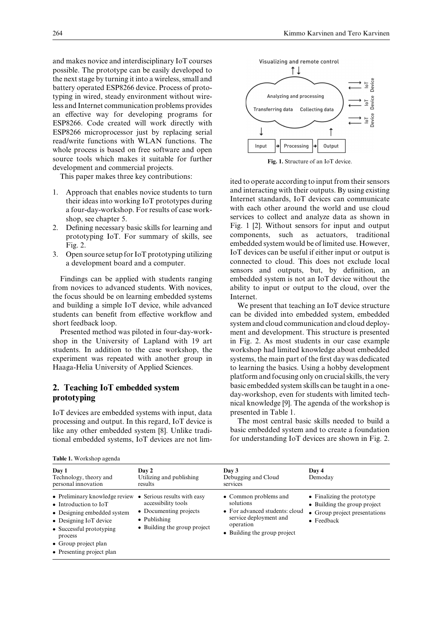and makes novice and interdisciplinary IoT courses possible. The prototype can be easily developed to the next stage by turning it into a wireless, small and battery operated ESP8266 device. Process of prototyping in wired, steady environment without wireless and Internet communication problems provides an effective way for developing programs for ESP8266. Code created will work directly with ESP8266 microprocessor just by replacing serial read/write functions with WLAN functions. The whole process is based on free software and open source tools which makes it suitable for further development and commercial projects.

This paper makes three key contributions:

- 1. Approach that enables novice students to turn their ideas into working IoT prototypes during a four-day-workshop. For results of case workshop, see chapter 5.
- 2. Defining necessary basic skills for learning and prototyping IoT. For summary of skills, see Fig. 2.
- 3. Open source setup for IoT prototyping utilizing a development board and a computer.

Findings can be applied with students ranging from novices to advanced students. With novices, the focus should be on learning embedded systems and building a simple IoT device, while advanced students can benefit from effective workflow and short feedback loop.

Presented method was piloted in four-day-workshop in the University of Lapland with 19 art students. In addition to the case workshop, the experiment was repeated with another group in Haaga-Helia University of Applied Sciences.

# **2. Teaching IoT embedded system prototyping**

IoT devices are embedded systems with input, data processing and output. In this regard, IoT device is like any other embedded system [8]. Unlike traditional embedded systems, IoT devices are not lim-

|  | <b>Table 1.</b> Workshop agenda |  |
|--|---------------------------------|--|
|--|---------------------------------|--|





**Fig. 1.** Structure of an IoT device.

ited to operate according to input from their sensors and interacting with their outputs. By using existing Internet standards, IoT devices can communicate with each other around the world and use cloud services to collect and analyze data as shown in Fig. 1 [2]. Without sensors for input and output components, such as actuators, traditional embedded system would be of limited use. However, IoT devices can be useful if either input or output is connected to cloud. This does not exclude local sensors and outputs, but, by definition, an embedded system is not an IoT device without the ability to input or output to the cloud, over the Internet.

We present that teaching an IoT device structure can be divided into embedded system, embedded system and cloud communication and cloud deployment and development. This structure is presented in Fig. 2. As most students in our case example workshop had limited knowledge about embedded systems, the main part of the first day was dedicated to learning the basics. Using a hobby development platform and focusing only on crucial skills, the very basic embedded system skills can be taught in a oneday-workshop, even for students with limited technical knowledge [9]. The agenda of the workshop is presented in Table 1.

The most central basic skills needed to build a basic embedded system and to create a foundation for understanding IoT devices are shown in Fig. 2.

| Day 1<br>Technology, theory and<br>personal innovation                                                                                                                                                                                   | Day 2<br>Utilizing and publishing<br>results                                                          | Day 3<br>Debugging and Cloud<br>services                                                                                                    | Day 4<br>Demoday                                                                                          |
|------------------------------------------------------------------------------------------------------------------------------------------------------------------------------------------------------------------------------------------|-------------------------------------------------------------------------------------------------------|---------------------------------------------------------------------------------------------------------------------------------------------|-----------------------------------------------------------------------------------------------------------|
| • Preliminary knowledge review • Serious results with easy<br>• Introduction to IoT<br>• Designing embedded system<br>• Designing IoT device<br>• Successful prototyping<br>process<br>• Group project plan<br>• Presenting project plan | accessibility tools<br>• Documenting projects<br>$\bullet$ Publishing<br>• Building the group project | • Common problems and<br>solutions<br>• For advanced students: cloud<br>service deployment and<br>operation<br>• Building the group project | • Finalizing the prototype<br>• Building the group project<br>• Group project presentations<br>• Feedback |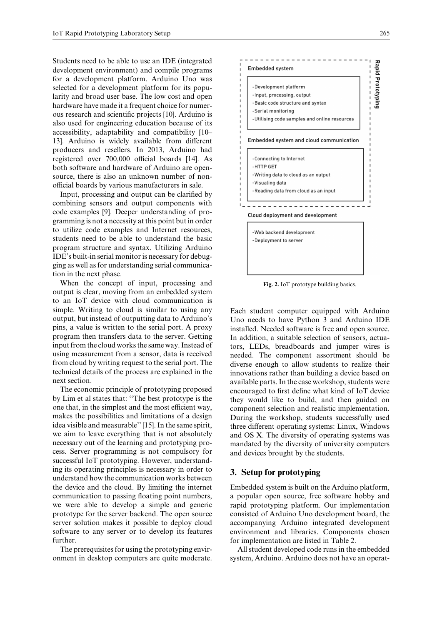Students need to be able to use an IDE (integrated development environment) and compile programs for a development platform. Arduino Uno was selected for a development platform for its popularity and broad user base. The low cost and open hardware have made it a frequent choice for numerous research and scientific projects [10]. Arduino is also used for engineering education because of its accessibility, adaptability and compatibility [10– 13]. Arduino is widely available from different producers and resellers. In 2013, Arduino had registered over 700,000 official boards [14]. As both software and hardware of Arduino are opensource, there is also an unknown number of nonofficial boards by various manufacturers in sale.

Input, processing and output can be clarified by combining sensors and output components with code examples [9]. Deeper understanding of programming is not a necessity at this point but in order to utilize code examples and Internet resources, students need to be able to understand the basic program structure and syntax. Utilizing Arduino IDE's built-in serial monitor is necessary for debugging as well as for understanding serial communication in the next phase.

When the concept of input, processing and output is clear, moving from an embedded system to an IoT device with cloud communication is simple. Writing to cloud is similar to using any output, but instead of outputting data to Arduino's pins, a value is written to the serial port. A proxy program then transfers data to the server. Getting input from the cloud works the same way. Instead of using measurement from a sensor, data is received from cloud by writing request to the serial port. The technical details of the process are explained in the next section.

The economic principle of prototyping proposed by Lim et al states that: ''The best prototype is the one that, in the simplest and the most efficient way, makes the possibilities and limitations of a design idea visible and measurable'' [15]. In the same spirit, we aim to leave everything that is not absolutely necessary out of the learning and prototyping process. Server programming is not compulsory for successful IoT prototyping. However, understanding its operating principles is necessary in order to understand how the communication works between the device and the cloud. By limiting the internet communication to passing floating point numbers, we were able to develop a simple and generic prototype for the server backend. The open source server solution makes it possible to deploy cloud software to any server or to develop its features further.

The prerequisites for using the prototyping environment in desktop computers are quite moderate.



**Fig. 2.** IoT prototype building basics.

Each student computer equipped with Arduino Uno needs to have Python 3 and Arduino IDE installed. Needed software is free and open source. In addition, a suitable selection of sensors, actuators, LEDs, breadboards and jumper wires is needed. The component assortment should be diverse enough to allow students to realize their innovations rather than building a device based on available parts. In the case workshop, students were encouraged to first define what kind of IoT device they would like to build, and then guided on component selection and realistic implementation. During the workshop, students successfully used three different operating systems: Linux, Windows and OS X. The diversity of operating systems was mandated by the diversity of university computers and devices brought by the students.

# **3. Setup for prototyping**

Embedded system is built on the Arduino platform, a popular open source, free software hobby and rapid prototyping platform. Our implementation consisted of Arduino Uno development board, the accompanying Arduino integrated development environment and libraries. Components chosen for implementation are listed in Table 2.

All student developed code runs in the embedded system, Arduino. Arduino does not have an operat-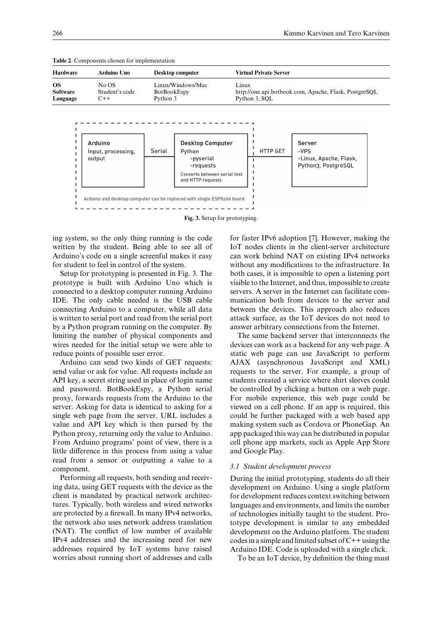| Hardware                                                                                                               | Arduino Uno                             |        | Desktop computer                                                                            | <b>Virtual Private Server</b> |                                                                 |  |
|------------------------------------------------------------------------------------------------------------------------|-----------------------------------------|--------|---------------------------------------------------------------------------------------------|-------------------------------|-----------------------------------------------------------------|--|
| OS.<br>No OS<br>Linux/Windows/Mac<br>Software<br>Student's code<br><b>BotBookEspy</b><br>Python 3<br>$C++$<br>Language |                                         |        | Linux<br>http://one.api.botbook.com, Apache, Flask, PostgreSQL<br>Python 3, SOL             |                               |                                                                 |  |
|                                                                                                                        | Arduino<br>Input, processing,<br>output | Serial | <b>Desktop Computer</b><br>Python<br>-pyserial<br>-requests<br>Converts hetween serial text | <b>HTTP GET</b>               | Server<br>-VPS<br>-Linux, Apache, Flask,<br>Python3, PostgreSQL |  |

**Fig. 3.** Setup for prototyping.

and HTTP requests

Arduino and desktop computer can be replaced with single ESP8266 board

**Table 2**. Components chosen for implementation

ing system, so the only thing running is the code written by the student. Being able to see all of Arduino's code on a single screenful makes it easy for student to feel in control of the system.

Setup for prototyping is presented in Fig. 3. The prototype is built with Arduino Uno which is connected to a desktop computer running Arduino IDE. The only cable needed is the USB cable connecting Arduino to a computer, while all data is written to serial port and read from the serial port by a Python program running on the computer. By limiting the number of physical components and wires needed for the initial setup we were able to reduce points of possible user error.

Arduino can send two kinds of GET requests: send value or ask for value. All requests include an API key, a secret string used in place of login name and password. BotBookEspy, a Python serial proxy, forwards requests from the Arduino to the server. Asking for data is identical to asking for a single web page from the server. URL includes a value and API key which is then parsed by the Python proxy, returning only the value to Arduino. From Arduino programs' point of view, there is a little difference in this process from using a value read from a sensor or outputting a value to a component.

Performing all requests, both sending and receiving data, using GET requests with the device as the client is mandated by practical network architectures. Typically, both wireless and wired networks are protected by a firewall. In many IPv4 networks, the network also uses network address translation (NAT). The conflict of low number of available IPv4 addresses and the increasing need for new addresses required by IoT systems have raised worries about running short of addresses and calls for faster IPv6 adoption [7]. However, making the IoT nodes clients in the client-server architecture can work behind NAT on existing IPv4 networks without any modifications to the infrastructure. In both cases, it is impossible to open a listening port visible to the Internet, and thus, impossible to create servers. A server in the Internet can facilitate communication both from devices to the server and between the devices. This approach also reduces attack surface, as the IoT devices do not need to answer arbitrary connections from the Internet.

The same backend server that interconnects the devices can work as a backend for any web page. A static web page can use JavaScript to perform AJAX (asynchronous JavaScript and XML) requests to the server. For example, a group of students created a service where shirt sleeves could be controlled by clicking a button on a web page. For mobile experience, this web page could be viewed on a cell phone. If an app is required, this could be further packaged with a web based app making system such as Cordova or PhoneGap. An app packaged this way can be distributed in popular cell phone app markets, such as Apple App Store and Google Play.

#### *3.1 Student development process*

During the initial prototyping, students do all their development on Arduino. Using a single platform for development reduces context switching between languages and environments, and limits the number of technologies initially taught to the student. Prototype development is similar to any embedded development on the Arduino platform. The student codes in a simple and limited subset of  $C++$  using the Arduino IDE. Code is uploaded with a single click.

To be an IoT device, by definition the thing must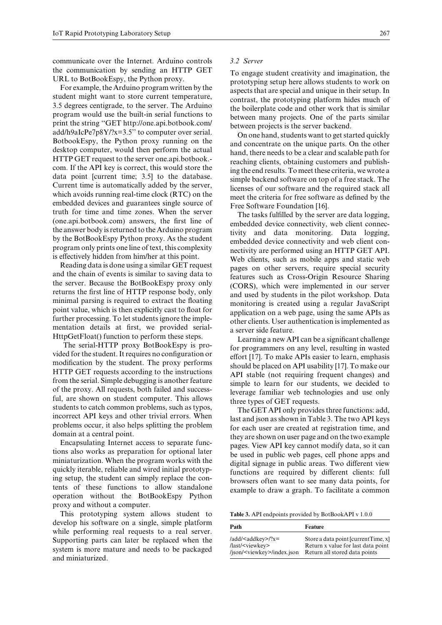communicate over the Internet. Arduino controls the communication by sending an HTTP GET URL to BotBookEspy, the Python proxy.

For example, the Arduino program written by the student might want to store current temperature, 3.5 degrees centigrade, to the server. The Arduino program would use the built-in serial functions to print the string ''GET http://one.api.botbook.com/ add/h9aIcPe7p8Y/?x=3.5'' to computer over serial. BotbookEspy, the Python proxy running on the desktop computer, would then perform the actual HTTP GET request to the server one.api.botbook. com. If the API key is correct, this would store the data point [current time; 3.5] to the database. Current time is automatically added by the server, which avoids running real-time clock (RTC) on the embedded devices and guarantees single source of truth for time and time zones. When the server (one.api.botbook.com) answers, the first line of the answer body is returned to the Arduino program by the BotBookEspy Python proxy. As the student program only prints one line of text, this complexity is effectively hidden from him/her at this point.

Reading data is done using a similar GET request and the chain of events is similar to saving data to the server. Because the BotBookEspy proxy only returns the first line of HTTP response body, only minimal parsing is required to extract the floating point value, which is then explicitly cast to float for further processing. To let students ignore the implementation details at first, we provided serial-HttpGetFloat() function to perform these steps.

The serial-HTTP proxy BotBookEspy is provided for the student. It requires no configuration or modification by the student. The proxy performs HTTP GET requests according to the instructions from the serial. Simple debugging is another feature of the proxy. All requests, both failed and successful, are shown on student computer. This allows students to catch common problems, such as typos, incorrect API keys and other trivial errors. When problems occur, it also helps splitting the problem domain at a central point.

Encapsulating Internet access to separate functions also works as preparation for optional later miniaturization. When the program works with the quickly iterable, reliable and wired initial prototyping setup, the student can simply replace the contents of these functions to allow standalone operation without the BotBookEspy Python proxy and without a computer.

This prototyping system allows student to develop his software on a single, simple platform while performing real requests to a real server. Supporting parts can later be replaced when the system is more mature and needs to be packaged and miniaturized.

#### *3.2 Server*

To engage student creativity and imagination, the prototyping setup here allows students to work on aspects that are special and unique in their setup. In contrast, the prototyping platform hides much of the boilerplate code and other work that is similar between many projects. One of the parts similar between projects is the server backend.

On one hand, students want to get started quickly and concentrate on the unique parts. On the other hand, there needs to be a clear and scalable path for reaching clients, obtaining customers and publishing the end results. To meet these criteria, we wrote a simple backend software on top of a free stack. The licenses of our software and the required stack all meet the criteria for free software as defined by the Free Software Foundation [16].

The tasks fulfilled by the server are data logging, embedded device connectivity, web client connectivity and data monitoring. Data logging, embedded device connectivity and web client connectivity are performed using an HTTP GET API. Web clients, such as mobile apps and static web pages on other servers, require special security features such as Cross-Origin Resource Sharing (CORS), which were implemented in our server and used by students in the pilot workshop. Data monitoring is created using a regular JavaScript application on a web page, using the same APIs as other clients. User authentication is implemented as a server side feature.

Learning a new API can be a significant challenge for programmers on any level, resulting in wasted effort [17]. To make APIs easier to learn, emphasis should be placed on API usability [17]. To make our API stable (not requiring frequent changes) and simple to learn for our students, we decided to leverage familiar web technologies and use only three types of GET requests.

The GET API only provides three functions: add, last and json as shown in Table 3. The two API keys for each user are created at registration time, and they are shown on user page and on the two example pages. View API key cannot modify data, so it can be used in public web pages, cell phone apps and digital signage in public areas. Two different view functions are required by different clients: full browsers often want to see many data points, for example to draw a graph. To facilitate a common

**Table 3.** API endpoints provided by BotBookAPI v 1.0.0

| Path                                      | Feature                             |
|-------------------------------------------|-------------------------------------|
| $/add$ <addkey><math>/2x=</math></addkey> | Store a data point [currentTime, x] |
| /last/ <viewkey></viewkey>                | Return x value for last data point  |
| /json/ <viewkey>/index.json</viewkey>     | Return all stored data points       |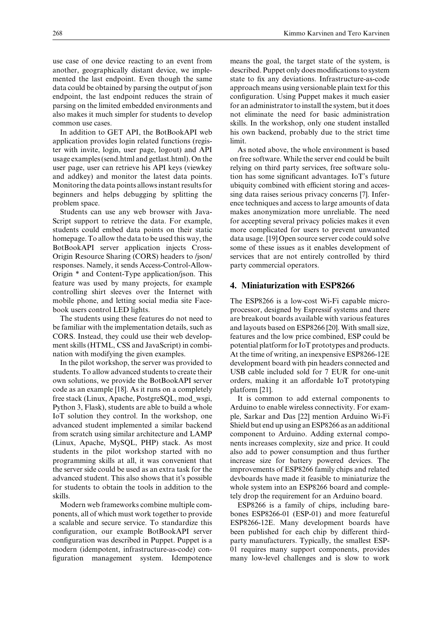use case of one device reacting to an event from another, geographically distant device, we implemented the last endpoint. Even though the same data could be obtained by parsing the output of json endpoint, the last endpoint reduces the strain of parsing on the limited embedded environments and also makes it much simpler for students to develop common use cases.

In addition to GET API, the BotBookAPI web application provides login related functions (register with invite, login, user page, logout) and API usage examples (send.html and getlast.html). On the user page, user can retrieve his API keys (viewkey and addkey) and monitor the latest data points. Monitoring the data points allows instant results for beginners and helps debugging by splitting the problem space.

Students can use any web browser with Java-Script support to retrieve the data. For example, students could embed data points on their static homepage. To allow the data to be used this way, the BotBookAPI server application injects Cross-Origin Resource Sharing (CORS) headers to /json/ responses. Namely, it sends Access-Control-Allow-Origin \* and Content-Type application/json. This feature was used by many projects, for example controlling shirt sleeves over the Internet with mobile phone, and letting social media site Facebook users control LED lights.

The students using these features do not need to be familiar with the implementation details, such as CORS. Instead, they could use their web development skills (HTML, CSS and JavaScript) in combination with modifying the given examples.

In the pilot workshop, the server was provided to students. To allow advanced students to create their own solutions, we provide the BotBookAPI server code as an example [18]. As it runs on a completely free stack (Linux, Apache, PostgreSQL, mod\_wsgi, Python 3, Flask), students are able to build a whole IoT solution they control. In the workshop, one advanced student implemented a similar backend from scratch using similar architecture and LAMP (Linux, Apache, MySQL, PHP) stack. As most students in the pilot workshop started with no programming skills at all, it was convenient that the server side could be used as an extra task for the advanced student. This also shows that it's possible for students to obtain the tools in addition to the skills.

Modern web frameworks combine multiple components, all of which must work together to provide a scalable and secure service. To standardize this configuration, our example BotBookAPI server configuration was described in Puppet. Puppet is a modern (idempotent, infrastructure-as-code) configuration management system. Idempotence means the goal, the target state of the system, is described. Puppet only does modifications to system state to fix any deviations. Infrastructure-as-code approach means using versionable plain text for this configuration. Using Puppet makes it much easier for an administrator to install the system, but it does not eliminate the need for basic administration skills. In the workshop, only one student installed his own backend, probably due to the strict time limit.

As noted above, the whole environment is based on free software. While the server end could be built relying on third party services, free software solution has some significant advantages. IoT's future ubiquity combined with efficient storing and accessing data raises serious privacy concerns [7]. Inference techniques and access to large amounts of data makes anonymization more unreliable. The need for accepting several privacy policies makes it even more complicated for users to prevent unwanted data usage. [19] Open source server code could solve some of these issues as it enables development of services that are not entirely controlled by third party commercial operators.

## **4. Miniaturization with ESP8266**

The ESP8266 is a low-cost Wi-Fi capable microprocessor, designed by Espressif systems and there are breakout boards available with various features and layouts based on ESP8266 [20]. With small size, features and the low price combined, ESP could be potential platform for IoT prototypes and products. At the time of writing, an inexpensive ESP8266-12E development board with pin headers connected and USB cable included sold for 7 EUR for one-unit orders, making it an affordable IoT prototyping platform [21].

It is common to add external components to Arduino to enable wireless connectivity. For example, Sarkar and Das [22] mention Arduino Wi-Fi Shield but end up using an ESP8266 as an additional component to Arduino. Adding external components increases complexity, size and price. It could also add to power consumption and thus further increase size for battery powered devices. The improvements of ESP8266 family chips and related devboards have made it feasible to miniaturize the whole system into an ESP8266 board and completely drop the requirement for an Arduino board.

ESP8266 is a family of chips, including barebones ESP8266-01 (ESP-01) and more featureful ESP8266-12E. Many development boards have been published for each chip by different thirdparty manufacturers. Typically, the smallest ESP-01 requires many support components, provides many low-level challenges and is slow to work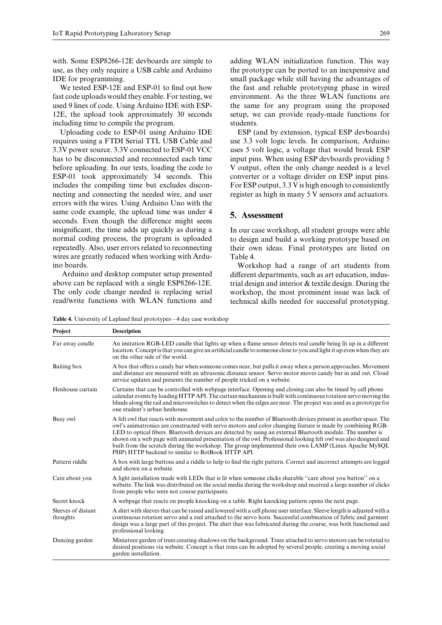with. Some ESP8266-12E devboards are simple to use, as they only require a USB cable and Arduino IDE for programming.

We tested ESP-12E and ESP-01 to find out how fast code uploads would they enable. For testing, we used 9 lines of code. Using Arduino IDE with ESP-12E, the upload took approximately 30 seconds including time to compile the program.

Uploading code to ESP-01 using Arduino IDE requires using a FTDI Serial TTL USB Cable and 3.3V power source. 3.3V connected to ESP-01 VCC has to be disconnected and reconnected each time before uploading. In our tests, loading the code to ESP-01 took approximately 34 seconds. This includes the compiling time but excludes disconnecting and connecting the needed wire, and user errors with the wires. Using Arduino Uno with the same code example, the upload time was under 4 seconds. Even though the difference might seem insignificant, the time adds up quickly as during a normal coding process, the program is uploaded repeatedly. Also, user errors related to reconnecting wires are greatly reduced when working with Arduino boards.

Arduino and desktop computer setup presented above can be replaced with a single ESP8266-12E. The only code change needed is replacing serial read/write functions with WLAN functions and

adding WLAN initialization function. This way the prototype can be ported to an inexpensive and small package while still having the advantages of the fast and reliable prototyping phase in wired environment. As the three WLAN functions are the same for any program using the proposed setup, we can provide ready-made functions for students.

ESP (and by extension, typical ESP devboards) use 3.3 volt logic levels. In comparison, Arduino uses 5 volt logic, a voltage that would break ESP input pins. When using ESP devboards providing 5 V output, often the only change needed is a level converter or a voltage divider on ESP input pins. For ESP output, 3.3 V is high enough to consistently register as high in many 5 V sensors and actuators.

### **5. Assessment**

In our case workshop, all student groups were able to design and build a working prototype based on their own ideas. Final prototypes are listed on Table 4.

Workshop had a range of art students from different departments, such as art education, industrial design and interior & textile design. During the workshop, the most prominent issue was lack of technical skills needed for successful prototyping.

**Table 4.** University of Lapland final prototypes—4 day case workshop

| Project                        | <b>Description</b>                                                                                                                                                                                                                                                                                                                                                                                                                                                                                                                                                                                                        |
|--------------------------------|---------------------------------------------------------------------------------------------------------------------------------------------------------------------------------------------------------------------------------------------------------------------------------------------------------------------------------------------------------------------------------------------------------------------------------------------------------------------------------------------------------------------------------------------------------------------------------------------------------------------------|
| Far away candle                | An imitation RGB-LED candle that lights up when a flame sensor detects real candle being lit up in a different<br>location. Concept is that you can give an artificial candle to someone close to you and light it up even when they are<br>on the other side of the world.                                                                                                                                                                                                                                                                                                                                               |
| Baiting box                    | A box that offers a candy bar when someone comes near, but pulls it away when a person approaches. Movement<br>and distance are measured with an ultrasonic distance sensor. Servo motor moves candy bar in and out. Cloud<br>service updates and presents the number of people tricked on a website.                                                                                                                                                                                                                                                                                                                     |
| Henhouse curtain               | Curtains that can be controlled with webpage interface. Opening and closing can also be timed by cell phone<br>calendar events by loading HTTP API. The curtain mechanism is built with continuous rotation servo moving the<br>blinds along the rail and microswitches to detect when the edges are near. The project was used as a prototype for<br>one student's urban henhouse.                                                                                                                                                                                                                                       |
| Busy owl                       | A felt owl that reacts with movement and color to the number of Bluetooth devices present in another space. The<br>owl's animatronics are constructed with servo motors and color changing feature is made by combining RGB-<br>LED to optical fibers. Bluetooth devices are detected by using an external Bluetooth module. The number is<br>shown on a web page with animated presentation of the owl. Professional looking felt owl was also designed and<br>built from the scratch during the workshop. The group implemented their own LAMP (Linux Apache MySQL<br>PHP) HTTP backend to similar to BotBook HTTP API. |
| Pattern riddle                 | A box with large buttons and a riddle to help to find the right pattern. Correct and incorrect attempts are logged<br>and shown on a website.                                                                                                                                                                                                                                                                                                                                                                                                                                                                             |
| Care about you                 | A light installation made with LEDs that is lit when someone clicks sharable "care about you button" on a<br>website. The link was distributed on the social media during the workshop and received a large number of clicks<br>from people who were not course participants.                                                                                                                                                                                                                                                                                                                                             |
| Secret knock                   | A webpage that reacts on people knocking on a table. Right knocking pattern opens the next page.                                                                                                                                                                                                                                                                                                                                                                                                                                                                                                                          |
| Sleeves of distant<br>thoughts | A shirt with sleeves that can be raised and lowered with a cell phone user interface. Sleeve length is adjusted with a<br>continuous rotation servo and a reel attached to the servo horn. Successful combination of fabric and garment<br>design was a large part of this project. The shirt that was fabricated during the course, was both functional and<br>professional looking.                                                                                                                                                                                                                                     |
| Dancing garden                 | Miniature garden of trees creating shadows on the background. Trees attached to servo motors can be rotated to<br>desired positions via website. Concept is that trees can be adopted by several people, creating a moving social<br>garden installation.                                                                                                                                                                                                                                                                                                                                                                 |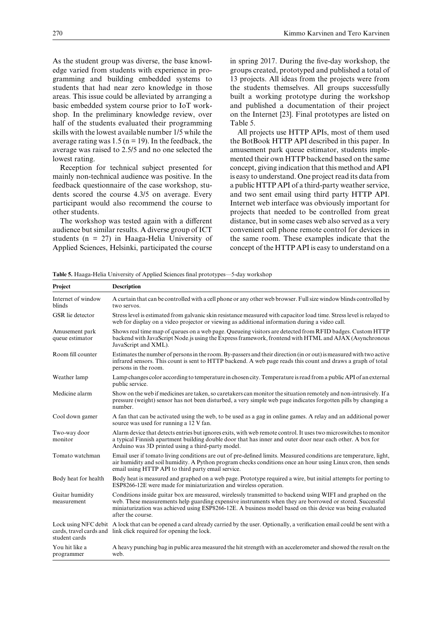As the student group was diverse, the base knowledge varied from students with experience in programming and building embedded systems to students that had near zero knowledge in those areas. This issue could be alleviated by arranging a basic embedded system course prior to IoT workshop. In the preliminary knowledge review, over half of the students evaluated their programming skills with the lowest available number 1/5 while the average rating was  $1.5$  (n = 19). In the feedback, the average was raised to 2.5/5 and no one selected the lowest rating.

Reception for technical subject presented for mainly non-technical audience was positive. In the feedback questionnaire of the case workshop, students scored the course 4.3/5 on average. Every participant would also recommend the course to other students.

The workshop was tested again with a different audience but similar results. A diverse group of ICT students (n = 27) in Haaga-Helia University of Applied Sciences, Helsinki, participated the course

in spring 2017. During the five-day workshop, the groups created, prototyped and published a total of 13 projects. All ideas from the projects were from the students themselves. All groups successfully built a working prototype during the workshop and published a documentation of their project on the Internet [23]. Final prototypes are listed on Table 5.

All projects use HTTP APIs, most of them used the BotBook HTTP API described in this paper. In amusement park queue estimator, students implemented their own HTTP backend based on the same concept, giving indication that this method and API is easy to understand. One project read its data from a public HTTP API of a third-party weather service, and two sent email using third party HTTP API. Internet web interface was obviously important for projects that needed to be controlled from great distance, but in some cases web also served as a very convenient cell phone remote control for devices in the same room. These examples indicate that the concept of the HTTP API is easy to understand on a

| Project                           | <b>Description</b>                                                                                                                                                                                                                                                                                                                                       |
|-----------------------------------|----------------------------------------------------------------------------------------------------------------------------------------------------------------------------------------------------------------------------------------------------------------------------------------------------------------------------------------------------------|
| Internet of window<br>blinds      | A curtain that can be controlled with a cell phone or any other web browser. Full size window blinds controlled by<br>two servos.                                                                                                                                                                                                                        |
| GSR lie detector                  | Stress level is estimated from galvanic skin resistance measured with capacitor load time. Stress level is relayed to<br>web for display on a video projector or viewing as additional information during a video call.                                                                                                                                  |
| Amusement park<br>queue estimator | Shows real time map of queues on a web page. Queueing visitors are detected from RFID badges. Custom HTTP<br>backend with JavaScript Node. is using the Express framework, frontend with HTML and AJAX (Asynchronous<br>JavaScript and XML).                                                                                                             |
| Room fill counter                 | Estimates the number of persons in the room. By-passers and their direction (in or out) is measured with two active<br>infrared sensors. This count is sent to HTTP backend. A web page reads this count and draws a graph of total<br>persons in the room.                                                                                              |
| Weather lamp                      | Lamp changes color according to temperature in chosen city. Temperature is read from a public API of an external<br>public service.                                                                                                                                                                                                                      |
| Medicine alarm                    | Show on the web if medicines are taken, so caretakers can monitor the situation remotely and non-intrusively. If a<br>pressure (weight) sensor has not been disturbed, a very simple web page indicates forgotten pills by changing a<br>number.                                                                                                         |
| Cool down gamer                   | A fan that can be activated using the web, to be used as a gag in online games. A relay and an additional power<br>source was used for running a 12 V fan.                                                                                                                                                                                               |
| Two-way door<br>monitor           | Alarm device that detects entries but ignores exits, with web remote control. It uses two microswitches to monitor<br>a typical Finnish apartment building double door that has inner and outer door near each other. A box for<br>Arduino was 3D printed using a third-party model.                                                                     |
| Tomato watchman                   | Email user if tomato living conditions are out of pre-defined limits. Measured conditions are temperature, light,<br>air humidity and soil humidity. A Python program checks conditions once an hour using Linux cron, then sends<br>email using HTTP API to third party email service.                                                                  |
| Body heat for health              | Body heat is measured and graphed on a web page. Prototype required a wire, but initial attempts for porting to<br>ESP8266-12E were made for miniaturization and wireless operation.                                                                                                                                                                     |
| Guitar humidity<br>measurement    | Conditions inside guitar box are measured, wirelessly transmitted to backend using WIFI and graphed on the<br>web. These measurements help guarding expensive instruments when they are borrowed or stored. Successful<br>miniaturization was achieved using ESP8266-12E. A business model based on this device was being evaluated<br>after the course. |
| student cards                     | Lock using NFC debit A lock that can be opened a card already carried by the user. Optionally, a verification email could be sent with a<br>cards, travel cards and link click required for opening the lock.                                                                                                                                            |
| You hit like a<br>programmer      | A heavy punching bag in public area measured the hit strength with an accelerometer and showed the result on the<br>web.                                                                                                                                                                                                                                 |

**Table 5.** Haaga-Helia University of Applied Sciences final prototypes—5-day workshop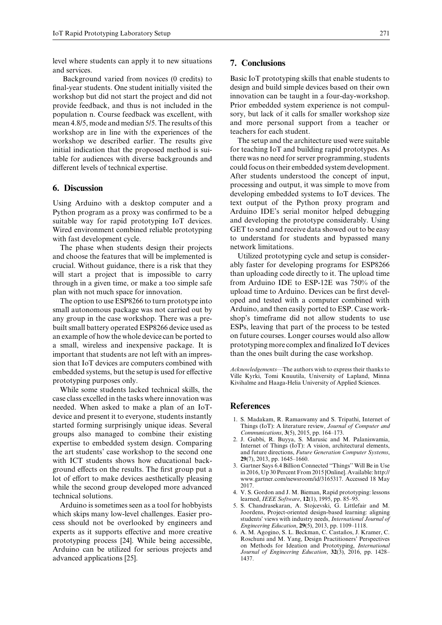level where students can apply it to new situations and services.

Background varied from novices (0 credits) to final-year students. One student initially visited the workshop but did not start the project and did not provide feedback, and thus is not included in the population n. Course feedback was excellent, with mean 4.8/5, mode and median 5/5. The results of this workshop are in line with the experiences of the workshop we described earlier. The results give initial indication that the proposed method is suitable for audiences with diverse backgrounds and different levels of technical expertise.

# **6. Discussion**

Using Arduino with a desktop computer and a Python program as a proxy was confirmed to be a suitable way for rapid prototyping IoT devices. Wired environment combined reliable prototyping with fast development cycle.

The phase when students design their projects and choose the features that will be implemented is crucial. Without guidance, there is a risk that they will start a project that is impossible to carry through in a given time, or make a too simple safe plan with not much space for innovation.

The option to use ESP8266 to turn prototype into small autonomous package was not carried out by any group in the case workshop. There was a prebuilt small battery operated ESP8266 device used as an example of how the whole device can be ported to a small, wireless and inexpensive package. It is important that students are not left with an impression that IoT devices are computers combined with embedded systems, but the setup is used for effective prototyping purposes only.

While some students lacked technical skills, the case class excelled in the tasks where innovation was needed. When asked to make a plan of an IoTdevice and present it to everyone, students instantly started forming surprisingly unique ideas. Several groups also managed to combine their existing expertise to embedded system design. Comparing the art students' case workshop to the second one with ICT students shows how educational background effects on the results. The first group put a lot of effort to make devices aesthetically pleasing while the second group developed more advanced technical solutions.

Arduino is sometimes seen as a tool for hobbyists which skips many low-level challenges. Easier process should not be overlooked by engineers and experts as it supports effective and more creative prototyping process [24]. While being accessible, Arduino can be utilized for serious projects and advanced applications [25].

## **7. Conclusions**

Basic IoT prototyping skills that enable students to design and build simple devices based on their own innovation can be taught in a four-day-workshop. Prior embedded system experience is not compulsory, but lack of it calls for smaller workshop size and more personal support from a teacher or teachers for each student.

The setup and the architecture used were suitable for teaching IoT and building rapid prototypes. As there was no need for server programming, students could focus on their embedded system development. After students understood the concept of input, processing and output, it was simple to move from developing embedded systems to IoT devices. The text output of the Python proxy program and Arduino IDE's serial monitor helped debugging and developing the prototype considerably. Using GET to send and receive data showed out to be easy to understand for students and bypassed many network limitations.

Utilized prototyping cycle and setup is considerably faster for developing programs for ESP8266 than uploading code directly to it. The upload time from Arduino IDE to ESP-12E was 750% of the upload time to Arduino. Devices can be first developed and tested with a computer combined with Arduino, and then easily ported to ESP. Case workshop's timeframe did not allow students to use ESPs, leaving that part of the process to be tested on future courses. Longer courses would also allow prototyping more complex and finalized IoT devices than the ones built during the case workshop.

*Acknowledgements*—The authors wish to express their thanks to Ville Kyrki, Tomi Knuutila, University of Lapland, Minna Kivihalme and Haaga-Helia University of Applied Sciences.

# **References**

- 1. S. Madakam, R. Ramaswamy and S. Tripathi, Internet of Things (IoT): A literature review, *Journal of Computer and Communications*, **3**(5), 2015, pp. 164–173.
- 2. J. Gubbi, R. Buyya, S. Marusic and M. Palaniswamia, Internet of Things (IoT): A vision, architectural elements, and future directions, *Future Generation Computer Systems*, **29**(7), 2013, pp. 1645–1660.
- 3. Gartner Says 6.4 Billion Connected ''Things'' Will Be in Use in 2016, Up 30 Percent From 2015 [Online]. Available: http:// www.gartner.com/newsroom/id/3165317. Accessed 18 May 2017.
- 4. V. S. Gordon and J. M. Bieman, Rapid prototyping: lessons learned, *IEEE Software*, **12**(1), 1995, pp. 85–95.
- 5. S. Chandrasekaran, A. Stojcevski, G. Littlefair and M. Joordens, Project-oriented design-based learning: aligning students' views with industry needs, *International Journal of Engineering Education*, **29**(5), 2013, pp. 1109–1118.
- 6. A. M. Agogino, S. L. Beckman, C. Castaños, J. Kramer, C. Roschuni and M. Yang, Design Practitioners' Perspectives on Methods for Ideation and Prototyping, *International Journal of Engineering Education*, **32**(3), 2016, pp. 1428– 1437.